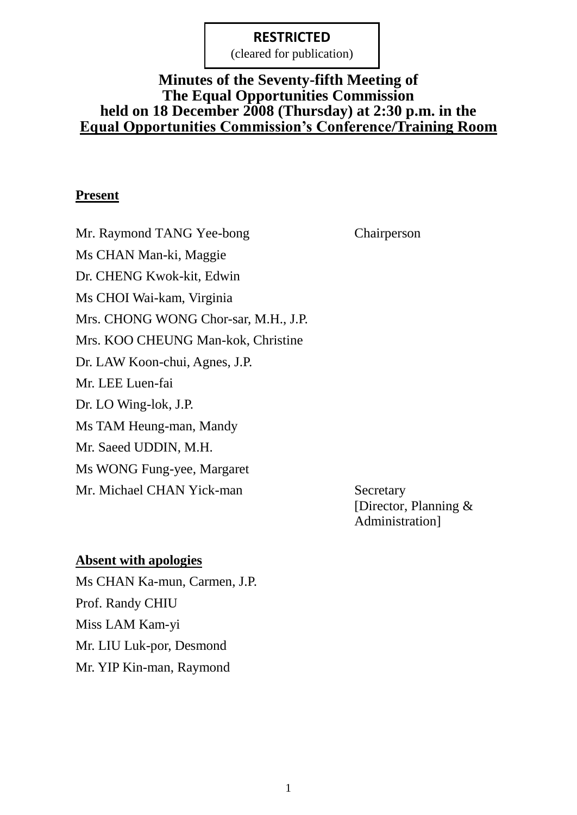(cleared for publication)

### **Minutes of the Seventy-fifth Meeting of The Equal Opportunities Commission held on 18 December 2008 (Thursday) at 2:30 p.m. in the Equal Opportunities Commission's Conference/Training Room**

#### **Present**

Mr. Raymond TANG Yee-bong Chairperson Ms CHAN Man-ki, Maggie Dr. CHENG Kwok-kit, Edwin Ms CHOI Wai-kam, Virginia Mrs. CHONG WONG Chor-sar, M.H., J.P. Mrs. KOO CHEUNG Man-kok, Christine Dr. LAW Koon-chui, Agnes, J.P. Mr. LEE Luen-fai Dr. LO Wing-lok, J.P. Ms TAM Heung-man, Mandy Mr. Saeed UDDIN, M.H. Ms WONG Fung-yee, Margaret Mr. Michael CHAN Yick-man Secretary

[Director, Planning & Administration]

#### **Absent with apologies**

Ms CHAN Ka-mun, Carmen, J.P. Prof. Randy CHIU Miss LAM Kam-yi Mr. LIU Luk-por, Desmond Mr. YIP Kin-man, Raymond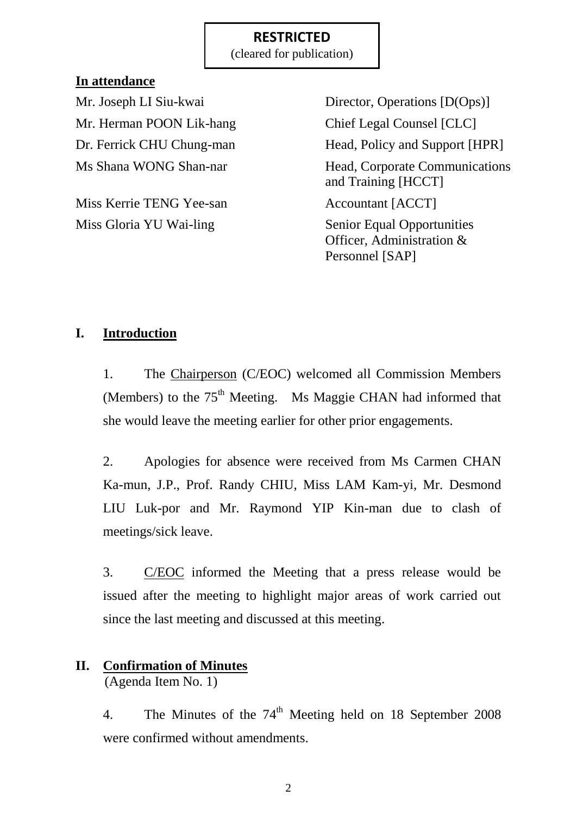(cleared for publication)

### **In attendance**

Mr. Herman POON Lik-hang Chief Legal Counsel [CLC]

Miss Kerrie TENG Yee-san Accountant [ACCT] Miss Gloria YU Wai-ling Senior Equal Opportunities

Mr. Joseph LI Siu-kwai Director, Operations [D(Ops)] Dr. Ferrick CHU Chung-man Head, Policy and Support [HPR] Ms Shana WONG Shan-nar Head, Corporate Communications and Training [HCCT] Officer, Administration &

Personnel [SAP]

# **I. Introduction**

1. The Chairperson (C/EOC) welcomed all Commission Members (Members) to the  $75<sup>th</sup>$  Meeting. Ms Maggie CHAN had informed that she would leave the meeting earlier for other prior engagements.

2. Apologies for absence were received from Ms Carmen CHAN Ka-mun, J.P., Prof. Randy CHIU, Miss LAM Kam-yi, Mr. Desmond LIU Luk-por and Mr. Raymond YIP Kin-man due to clash of meetings/sick leave.

3. C/EOC informed the Meeting that a press release would be issued after the meeting to highlight major areas of work carried out since the last meeting and discussed at this meeting.

# **II. Confirmation of Minutes**

(Agenda Item No. 1)

4. The Minutes of the  $74<sup>th</sup>$  Meeting held on 18 September 2008 were confirmed without amendments.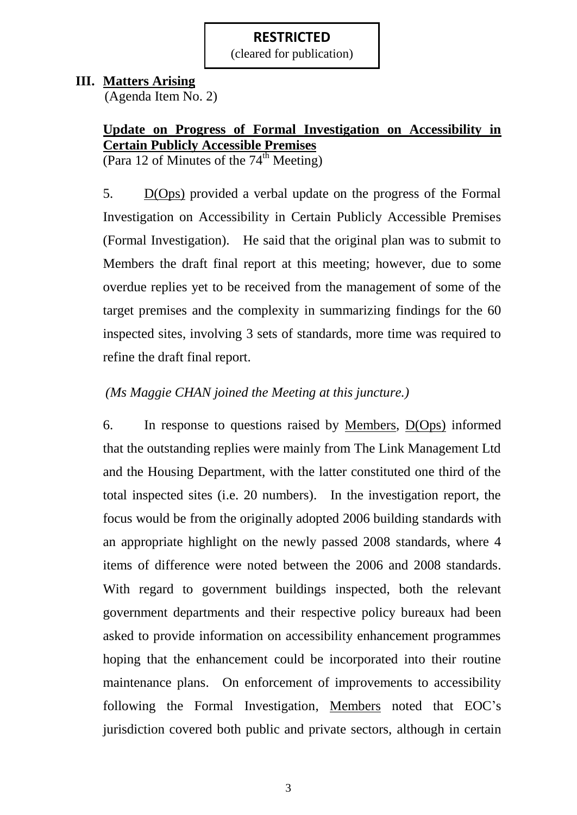(cleared for publication)

#### **III. Matters Arising**

(Agenda Item No. 2)

# **Update on Progress of Formal Investigation on Accessibility in Certain Publicly Accessible Premises**

(Para 12 of Minutes of the  $74<sup>th</sup>$  Meeting)

5. D(Ops) provided a verbal update on the progress of the Formal Investigation on Accessibility in Certain Publicly Accessible Premises (Formal Investigation). He said that the original plan was to submit to Members the draft final report at this meeting; however, due to some overdue replies yet to be received from the management of some of the target premises and the complexity in summarizing findings for the 60 inspected sites, involving 3 sets of standards, more time was required to refine the draft final report.

# *(Ms Maggie CHAN joined the Meeting at this juncture.)*

6. In response to questions raised by Members, D(Ops) informed that the outstanding replies were mainly from The Link Management Ltd and the Housing Department, with the latter constituted one third of the total inspected sites (i.e. 20 numbers). In the investigation report, the focus would be from the originally adopted 2006 building standards with an appropriate highlight on the newly passed 2008 standards, where 4 items of difference were noted between the 2006 and 2008 standards. With regard to government buildings inspected, both the relevant government departments and their respective policy bureaux had been asked to provide information on accessibility enhancement programmes hoping that the enhancement could be incorporated into their routine maintenance plans. On enforcement of improvements to accessibility following the Formal Investigation, Members noted that EOC's jurisdiction covered both public and private sectors, although in certain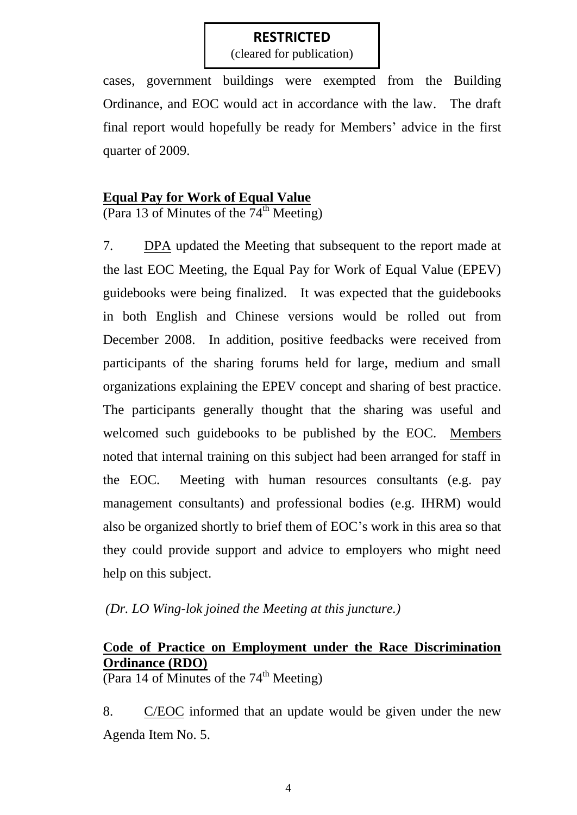(cleared for publication)

cases, government buildings were exempted from the Building Ordinance, and EOC would act in accordance with the law. The draft final report would hopefully be ready for Members' advice in the first quarter of 2009.

#### **Equal Pay for Work of Equal Value**

(Para 13 of Minutes of the  $74<sup>th</sup>$  Meeting)

7. DPA updated the Meeting that subsequent to the report made at the last EOC Meeting, the Equal Pay for Work of Equal Value (EPEV) guidebooks were being finalized. It was expected that the guidebooks in both English and Chinese versions would be rolled out from December 2008. In addition, positive feedbacks were received from participants of the sharing forums held for large, medium and small organizations explaining the EPEV concept and sharing of best practice. The participants generally thought that the sharing was useful and welcomed such guidebooks to be published by the EOC. Members noted that internal training on this subject had been arranged for staff in the EOC. Meeting with human resources consultants (e.g. pay management consultants) and professional bodies (e.g. IHRM) would also be organized shortly to brief them of EOC's work in this area so that they could provide support and advice to employers who might need help on this subject.

*(Dr. LO Wing-lok joined the Meeting at this juncture.)*

# **Code of Practice on Employment under the Race Discrimination Ordinance (RDO)**

(Para 14 of Minutes of the  $74<sup>th</sup>$  Meeting)

8. C/EOC informed that an update would be given under the new Agenda Item No. 5.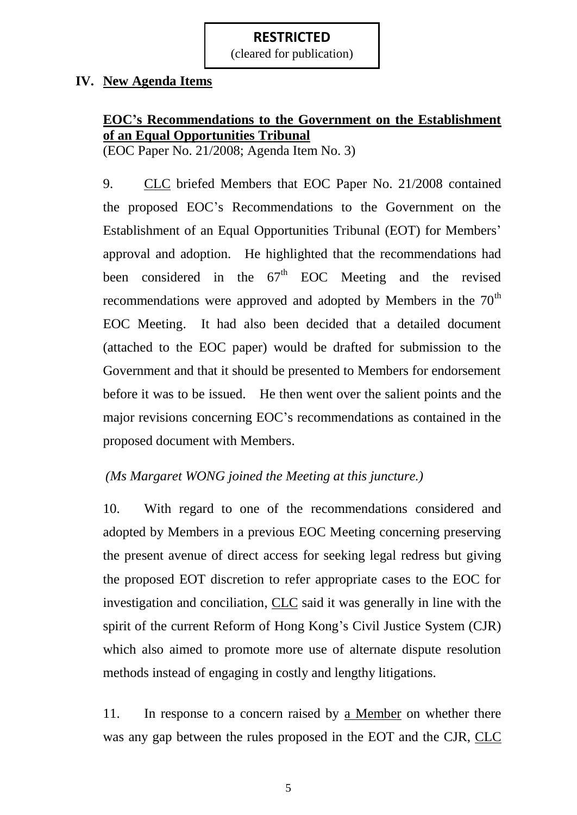(cleared for publication)

#### **IV. New Agenda Items**

# **EOC's Recommendations to the Government on the Establishment of an Equal Opportunities Tribunal**

(EOC Paper No. 21/2008; Agenda Item No. 3)

9. CLC briefed Members that EOC Paper No. 21/2008 contained the proposed EOC's Recommendations to the Government on the Establishment of an Equal Opportunities Tribunal (EOT) for Members' approval and adoption. He highlighted that the recommendations had been considered in the  $67<sup>th</sup>$  EOC Meeting and the revised recommendations were approved and adopted by Members in the  $70<sup>th</sup>$ EOC Meeting. It had also been decided that a detailed document (attached to the EOC paper) would be drafted for submission to the Government and that it should be presented to Members for endorsement before it was to be issued. He then went over the salient points and the major revisions concerning EOC's recommendations as contained in the proposed document with Members.

#### *(Ms Margaret WONG joined the Meeting at this juncture.)*

10. With regard to one of the recommendations considered and adopted by Members in a previous EOC Meeting concerning preserving the present avenue of direct access for seeking legal redress but giving the proposed EOT discretion to refer appropriate cases to the EOC for investigation and conciliation, CLC said it was generally in line with the spirit of the current Reform of Hong Kong's Civil Justice System (CJR) which also aimed to promote more use of alternate dispute resolution methods instead of engaging in costly and lengthy litigations.

11. In response to a concern raised by a Member on whether there was any gap between the rules proposed in the EOT and the CJR, CLC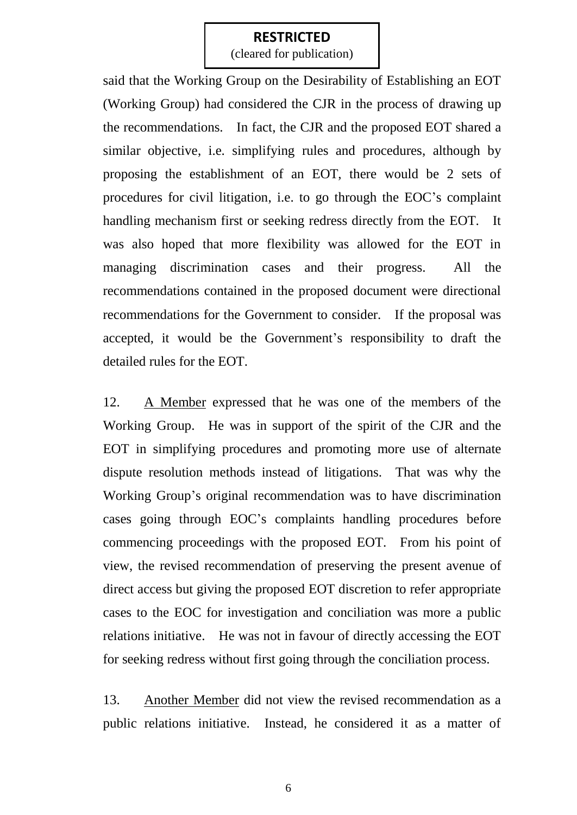(cleared for publication)

said that the Working Group on the Desirability of Establishing an EOT (Working Group) had considered the CJR in the process of drawing up the recommendations. In fact, the CJR and the proposed EOT shared a similar objective, i.e. simplifying rules and procedures, although by proposing the establishment of an EOT, there would be 2 sets of procedures for civil litigation, i.e. to go through the EOC's complaint handling mechanism first or seeking redress directly from the EOT. It was also hoped that more flexibility was allowed for the EOT in managing discrimination cases and their progress. All the recommendations contained in the proposed document were directional recommendations for the Government to consider. If the proposal was accepted, it would be the Government's responsibility to draft the detailed rules for the EOT.

12. A Member expressed that he was one of the members of the Working Group. He was in support of the spirit of the CJR and the EOT in simplifying procedures and promoting more use of alternate dispute resolution methods instead of litigations. That was why the Working Group's original recommendation was to have discrimination cases going through EOC's complaints handling procedures before commencing proceedings with the proposed EOT. From his point of view, the revised recommendation of preserving the present avenue of direct access but giving the proposed EOT discretion to refer appropriate cases to the EOC for investigation and conciliation was more a public relations initiative. He was not in favour of directly accessing the EOT for seeking redress without first going through the conciliation process.

13. Another Member did not view the revised recommendation as a public relations initiative. Instead, he considered it as a matter of

6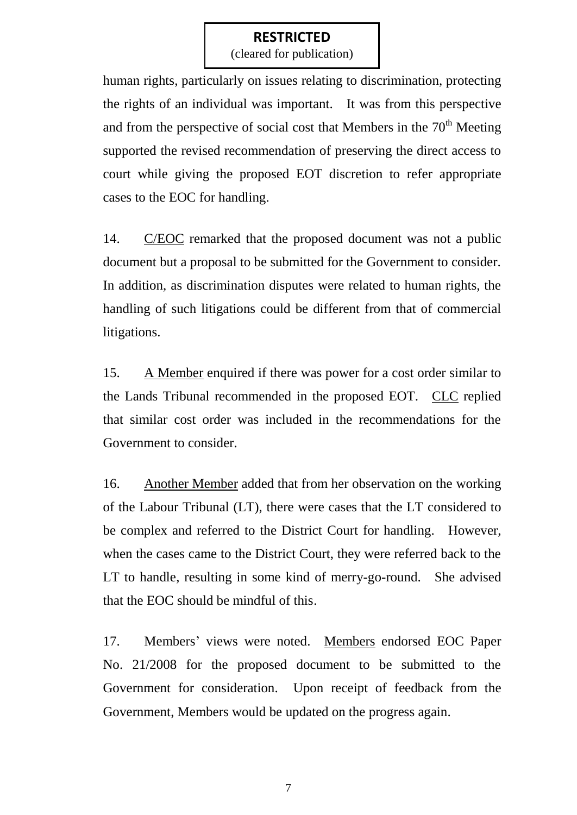(cleared for publication)

human rights, particularly on issues relating to discrimination, protecting the rights of an individual was important. It was from this perspective and from the perspective of social cost that Members in the  $70<sup>th</sup>$  Meeting supported the revised recommendation of preserving the direct access to court while giving the proposed EOT discretion to refer appropriate cases to the EOC for handling.

14. C/EOC remarked that the proposed document was not a public document but a proposal to be submitted for the Government to consider. In addition, as discrimination disputes were related to human rights, the handling of such litigations could be different from that of commercial litigations.

15. A Member enquired if there was power for a cost order similar to the Lands Tribunal recommended in the proposed EOT. CLC replied that similar cost order was included in the recommendations for the Government to consider.

16. Another Member added that from her observation on the working of the Labour Tribunal (LT), there were cases that the LT considered to be complex and referred to the District Court for handling. However, when the cases came to the District Court, they were referred back to the LT to handle, resulting in some kind of merry-go-round. She advised that the EOC should be mindful of this.

17. Members' views were noted. Members endorsed EOC Paper No. 21/2008 for the proposed document to be submitted to the Government for consideration. Upon receipt of feedback from the Government, Members would be updated on the progress again.

7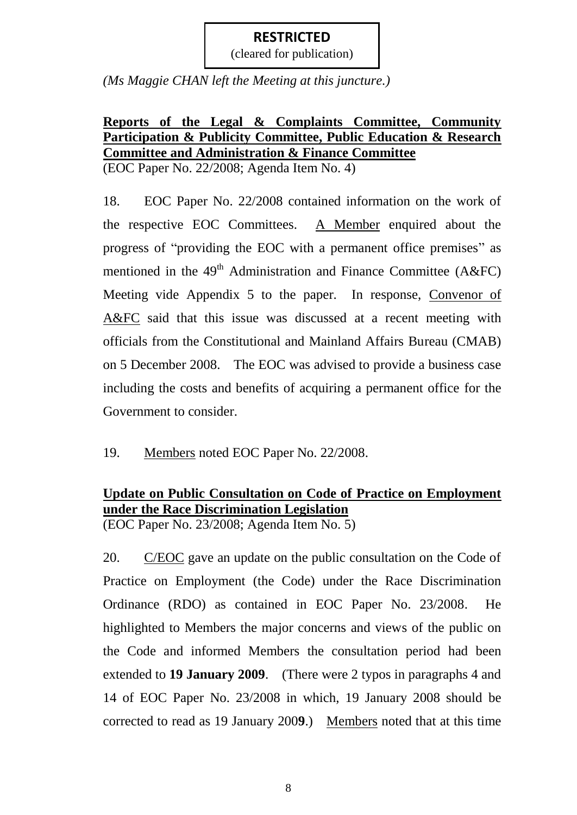(cleared for publication)

*(Ms Maggie CHAN left the Meeting at this juncture.)*

# **Reports of the Legal & Complaints Committee, Community Participation & Publicity Committee, Public Education & Research Committee and Administration & Finance Committee**

(EOC Paper No. 22/2008; Agenda Item No. 4)

18. EOC Paper No. 22/2008 contained information on the work of the respective EOC Committees. A Member enquired about the progress of "providing the EOC with a permanent office premises" as mentioned in the  $49<sup>th</sup>$  Administration and Finance Committee (A&FC) Meeting vide Appendix 5 to the paper. In response, Convenor of A&FC said that this issue was discussed at a recent meeting with officials from the Constitutional and Mainland Affairs Bureau (CMAB) on 5 December 2008. The EOC was advised to provide a business case including the costs and benefits of acquiring a permanent office for the Government to consider.

19. Members noted EOC Paper No. 22/2008.

# **Update on Public Consultation on Code of Practice on Employment under the Race Discrimination Legislation**

(EOC Paper No. 23/2008; Agenda Item No. 5)

20. C/EOC gave an update on the public consultation on the Code of Practice on Employment (the Code) under the Race Discrimination Ordinance (RDO) as contained in EOC Paper No. 23/2008. He highlighted to Members the major concerns and views of the public on the Code and informed Members the consultation period had been extended to **19 January 2009**. (There were 2 typos in paragraphs 4 and 14 of EOC Paper No. 23/2008 in which, 19 January 2008 should be corrected to read as 19 January 200**9**.) Members noted that at this time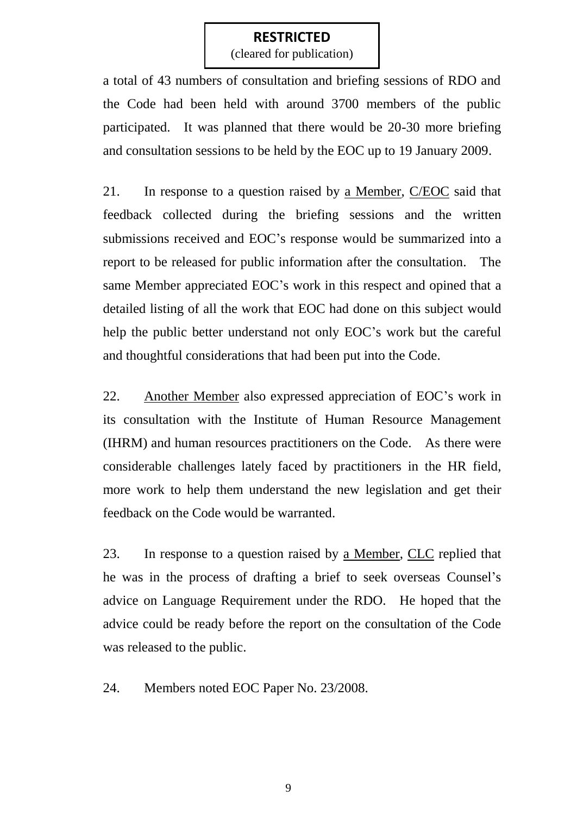(cleared for publication)

a total of 43 numbers of consultation and briefing sessions of RDO and the Code had been held with around 3700 members of the public participated. It was planned that there would be 20-30 more briefing and consultation sessions to be held by the EOC up to 19 January 2009.

21. In response to a question raised by a Member, C/EOC said that feedback collected during the briefing sessions and the written submissions received and EOC's response would be summarized into a report to be released for public information after the consultation. The same Member appreciated EOC's work in this respect and opined that a detailed listing of all the work that EOC had done on this subject would help the public better understand not only EOC's work but the careful and thoughtful considerations that had been put into the Code.

22. Another Member also expressed appreciation of EOC's work in its consultation with the Institute of Human Resource Management (IHRM) and human resources practitioners on the Code. As there were considerable challenges lately faced by practitioners in the HR field, more work to help them understand the new legislation and get their feedback on the Code would be warranted.

23. In response to a question raised by a Member, CLC replied that he was in the process of drafting a brief to seek overseas Counsel's advice on Language Requirement under the RDO. He hoped that the advice could be ready before the report on the consultation of the Code was released to the public.

24. Members noted EOC Paper No. 23/2008.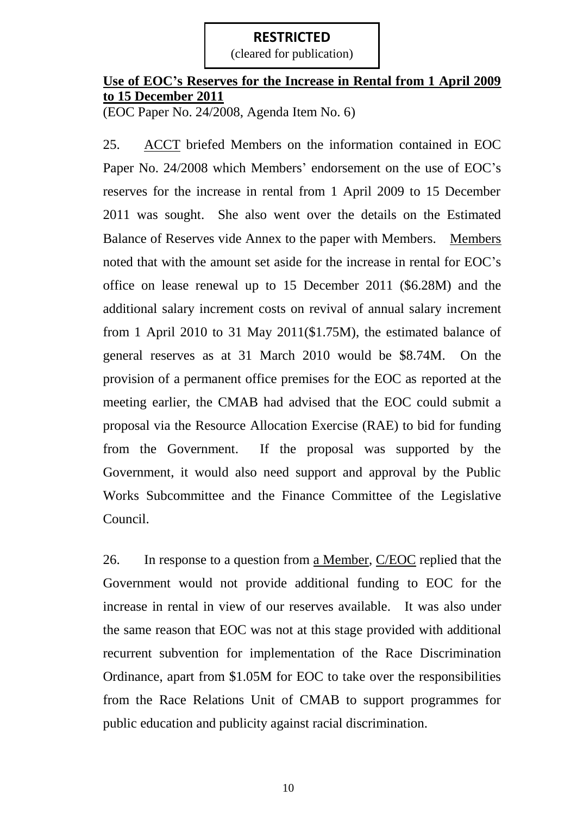(cleared for publication)

# **Use of EOC's Reserves for the Increase in Rental from 1 April 2009 to 15 December 2011**

(EOC Paper No. 24/2008, Agenda Item No. 6)

25. ACCT briefed Members on the information contained in EOC Paper No. 24/2008 which Members' endorsement on the use of EOC's reserves for the increase in rental from 1 April 2009 to 15 December 2011 was sought. She also went over the details on the Estimated Balance of Reserves vide Annex to the paper with Members. Members noted that with the amount set aside for the increase in rental for EOC's office on lease renewal up to 15 December 2011 (\$6.28M) and the additional salary increment costs on revival of annual salary increment from 1 April 2010 to 31 May 2011(\$1.75M), the estimated balance of general reserves as at 31 March 2010 would be \$8.74M. On the provision of a permanent office premises for the EOC as reported at the meeting earlier, the CMAB had advised that the EOC could submit a proposal via the Resource Allocation Exercise (RAE) to bid for funding from the Government. If the proposal was supported by the Government, it would also need support and approval by the Public Works Subcommittee and the Finance Committee of the Legislative Council.

26. In response to a question from a Member, C/EOC replied that the Government would not provide additional funding to EOC for the increase in rental in view of our reserves available. It was also under the same reason that EOC was not at this stage provided with additional recurrent subvention for implementation of the Race Discrimination Ordinance, apart from \$1.05M for EOC to take over the responsibilities from the Race Relations Unit of CMAB to support programmes for public education and publicity against racial discrimination.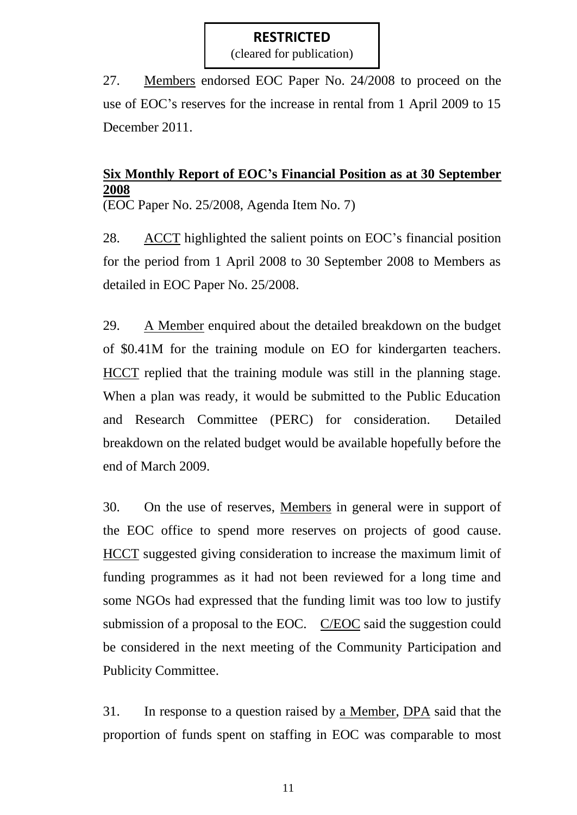(cleared for publication)

27. Members endorsed EOC Paper No. 24/2008 to proceed on the use of EOC's reserves for the increase in rental from 1 April 2009 to 15 December 2011.

# **Six Monthly Report of EOC's Financial Position as at 30 September 2008**

(EOC Paper No. 25/2008, Agenda Item No. 7)

28. ACCT highlighted the salient points on EOC's financial position for the period from 1 April 2008 to 30 September 2008 to Members as detailed in EOC Paper No. 25/2008.

29. A Member enquired about the detailed breakdown on the budget of \$0.41M for the training module on EO for kindergarten teachers. HCCT replied that the training module was still in the planning stage. When a plan was ready, it would be submitted to the Public Education and Research Committee (PERC) for consideration. Detailed breakdown on the related budget would be available hopefully before the end of March 2009.

30. On the use of reserves, Members in general were in support of the EOC office to spend more reserves on projects of good cause. HCCT suggested giving consideration to increase the maximum limit of funding programmes as it had not been reviewed for a long time and some NGOs had expressed that the funding limit was too low to justify submission of a proposal to the EOC. C/EOC said the suggestion could be considered in the next meeting of the Community Participation and Publicity Committee.

31. In response to a question raised by a Member, DPA said that the proportion of funds spent on staffing in EOC was comparable to most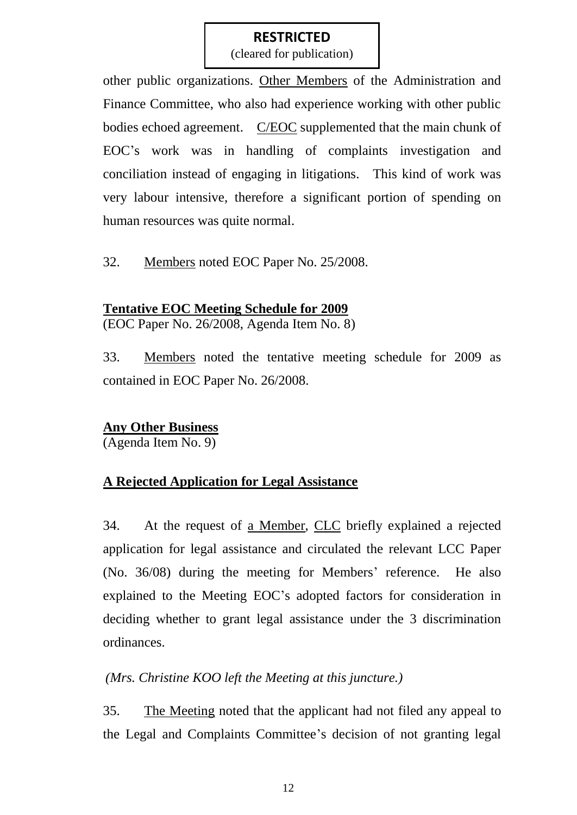(cleared for publication)

other public organizations. Other Members of the Administration and Finance Committee, who also had experience working with other public bodies echoed agreement. C/EOC supplemented that the main chunk of EOC's work was in handling of complaints investigation and conciliation instead of engaging in litigations. This kind of work was very labour intensive, therefore a significant portion of spending on human resources was quite normal.

32. Members noted EOC Paper No. 25/2008.

#### **Tentative EOC Meeting Schedule for 2009**

(EOC Paper No. 26/2008, Agenda Item No. 8)

33. Members noted the tentative meeting schedule for 2009 as contained in EOC Paper No. 26/2008.

#### **Any Other Business**

(Agenda Item No. 9)

#### **A Rejected Application for Legal Assistance**

34. At the request of a Member, CLC briefly explained a rejected application for legal assistance and circulated the relevant LCC Paper (No. 36/08) during the meeting for Members' reference. He also explained to the Meeting EOC's adopted factors for consideration in deciding whether to grant legal assistance under the 3 discrimination ordinances.

#### *(Mrs. Christine KOO left the Meeting at this juncture.)*

35. The Meeting noted that the applicant had not filed any appeal to the Legal and Complaints Committee's decision of not granting legal